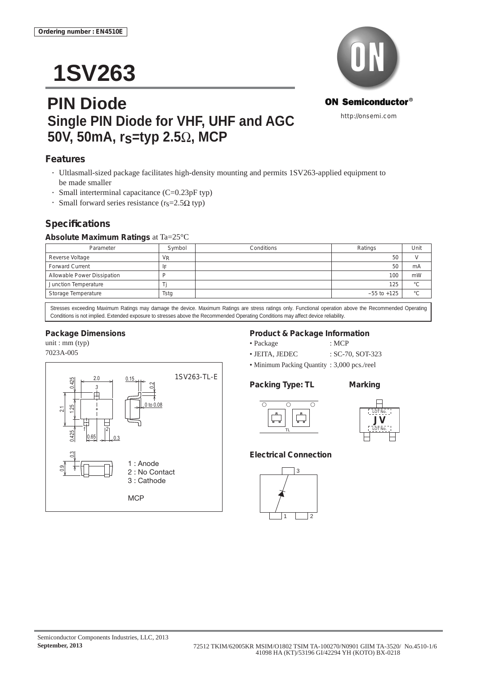# **1SV263**

# **PIN Diode Single PIN Diode for VHF, UHF and AGC 50V, 50mA, rs=typ 2.5**Ω**, MCP**



### **Features**

- Ultlasmall-sized package facilitates high-density mounting and permits 1SV263-applied equipment to be made smaller
- Small interterminal capacitance  $(C=0.23pF$  typ)
- Small forward series resistance ( $r_s = 2.5\Omega$  typ)

### **Specifi cations**

### **Absolute Maximum Ratings** at Ta=25°C

| Parameter                   | Symbol  | Conditions | Ratings         | Unit |
|-----------------------------|---------|------------|-----------------|------|
| Reverse Voltage             | $V_{R}$ |            | 50              |      |
| <b>Forward Current</b>      |         |            | 50              | mA   |
| Allowable Power Dissipation |         |            | 100             | mW   |
| Junction Temperature        |         |            | 125             | °С   |
| Storage Temperature         | Tstg    |            | $-55$ to $+125$ | °C   |

Stresses exceeding Maximum Ratings may damage the device. Maximum Ratings are stress ratings only. Functional operation above the Recommended Operating Conditions is not implied. Extended exposure to stresses above the Recommended Operating Conditions may affect device reliability.

### **Package Dimensions**

unit : mm (typ) 7023A-005



### **Product & Package Information**

- Package : MCP
- JEITA, JEDEC : SC-70, SOT-323
- Minimum Packing Quantity : 3,000 pcs./reel

### **Packing Type: TL Marking**





### **Electrical Connection**

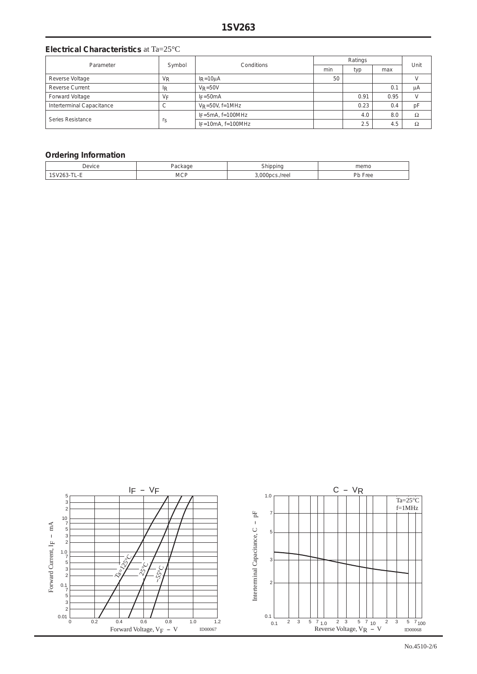### **Electrical Characteristics** at Ta=25°C

| Parameter                 | Symbol               | Conditions              | Ratings |      |      | Unit |
|---------------------------|----------------------|-------------------------|---------|------|------|------|
|                           |                      |                         | min     | typ  | max  |      |
| Reverse Voltage           | <b>V<sub>R</sub></b> | $I_R = 10 \mu A$        | 50      |      |      |      |
| <b>Reverse Current</b>    | <sup>I</sup> R       | $V_R = 50V$             |         |      | 0.1  | μA   |
| Forward Voltage           | VF                   | $I_F = 50mA$            |         | 0.91 | 0.95 |      |
| Interterminal Capacitance | ◡                    | $V_R = 50V$ , f=1MHz    |         | 0.23 | 0.4  | рF   |
| Series Resistance         | $r_S$                | $IF = 5mA, f = 100MHz$  |         | 4.0  | 8.0  | Ω    |
|                           |                      | $I_F = 10mA$ , f=100MHz |         | 2.5  | 4.5  |      |

### **Ordering Information**

| Device | الباكي     | ihinning | memo    |
|--------|------------|----------|---------|
|        | .          |          |         |
| -      | <b>MCP</b> | :s./reel | Pb Free |

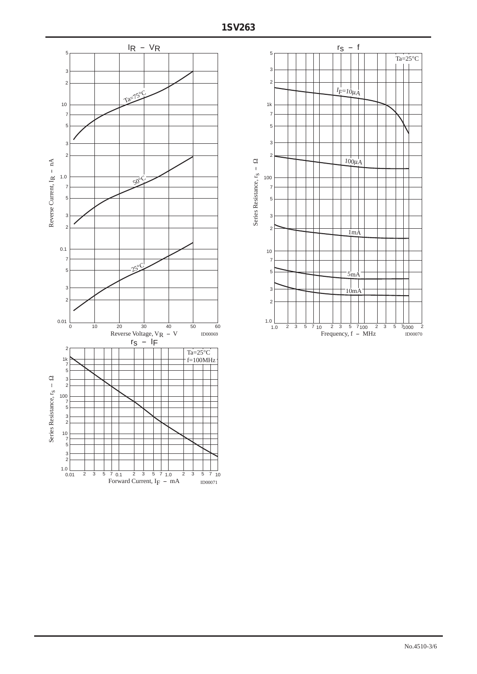

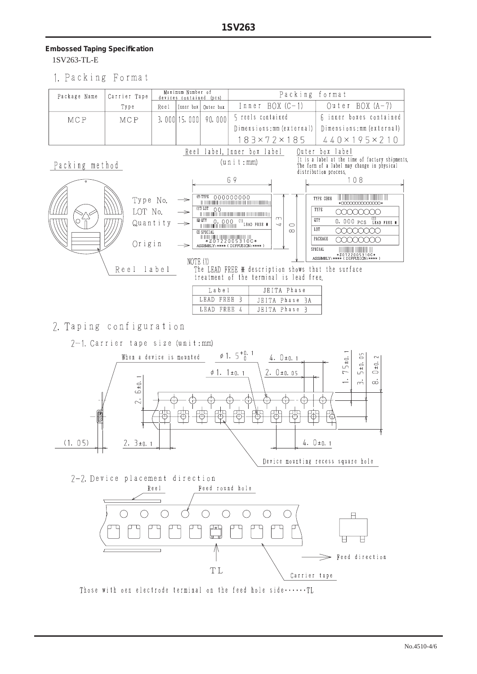## **Embossed Taping Specifi cation**

1SV263-TL-E

1. Packing Format



2. Taping configuration

7-1. Carrier tape size (unit:mm)



Carrier tape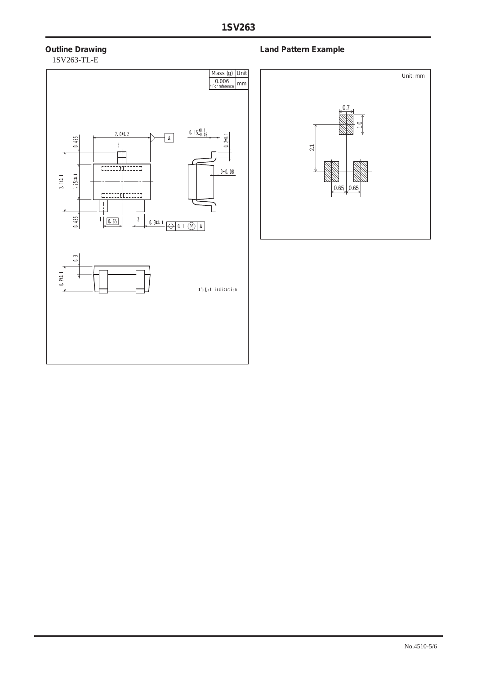# 1SV263-TL-E



### **Outline Drawing Community Community Community Community Community Community Community Community Community Community**